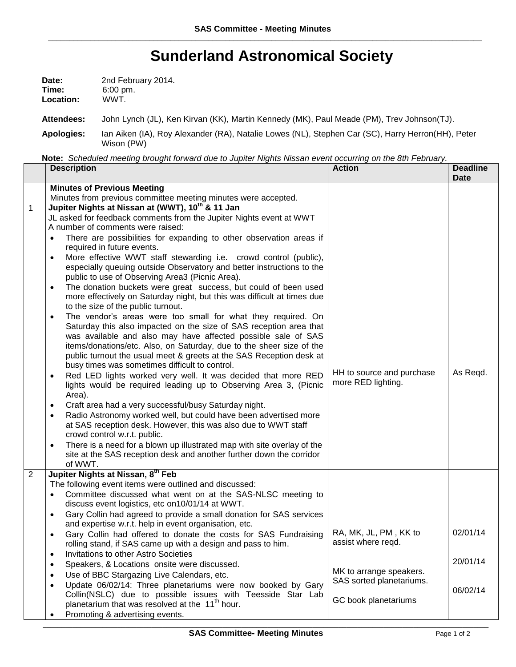## **Sunderland Astronomical Society**

| Date:     | 2nd February 2014.  |
|-----------|---------------------|
| Time:     | $6:00 \text{ pm}$ . |
| Location: | WWT.                |

**Attendees:** John Lynch (JL), Ken Kirvan (KK), Martin Kennedy (MK), Paul Meade (PM), Trev Johnson(TJ).

**Apologies:** Ian Aiken (IA), Roy Alexander (RA), Natalie Lowes (NL), Stephen Car (SC), Harry Herron(HH), Peter Wison (PW)

**Note:** *Scheduled meeting brought forward due to Jupiter Nights Nissan event occurring on the 8th February.*

|                | <b>Description</b>                                                                                                                                                                                               | <b>Action</b>                                   | <b>Deadline</b><br><b>Date</b> |
|----------------|------------------------------------------------------------------------------------------------------------------------------------------------------------------------------------------------------------------|-------------------------------------------------|--------------------------------|
|                | <b>Minutes of Previous Meeting</b>                                                                                                                                                                               |                                                 |                                |
|                | Minutes from previous committee meeting minutes were accepted.                                                                                                                                                   |                                                 |                                |
| $\mathbf{1}$   | Jupiter Nights at Nissan at (WWT), 10 <sup>th</sup> & 11 Jan                                                                                                                                                     |                                                 |                                |
|                | JL asked for feedback comments from the Jupiter Nights event at WWT                                                                                                                                              |                                                 |                                |
|                | A number of comments were raised:                                                                                                                                                                                |                                                 |                                |
|                | There are possibilities for expanding to other observation areas if<br>required in future events.                                                                                                                |                                                 |                                |
|                | More effective WWT staff stewarding i.e. crowd control (public),<br>$\bullet$<br>especially queuing outside Observatory and better instructions to the                                                           |                                                 |                                |
|                | public to use of Observing Area3 (Picnic Area).                                                                                                                                                                  |                                                 |                                |
|                | The donation buckets were great success, but could of been used<br>$\bullet$<br>more effectively on Saturday night, but this was difficult at times due<br>to the size of the public turnout.                    |                                                 |                                |
|                | The vendor's areas were too small for what they required. On<br>$\bullet$<br>Saturday this also impacted on the size of SAS reception area that<br>was available and also may have affected possible sale of SAS |                                                 |                                |
|                | items/donations/etc. Also, on Saturday, due to the sheer size of the<br>public turnout the usual meet & greets at the SAS Reception desk at<br>busy times was sometimes difficult to control.                    |                                                 |                                |
|                | Red LED lights worked very well. It was decided that more RED<br>$\bullet$<br>lights would be required leading up to Observing Area 3, (Picnic<br>Area).                                                         | HH to source and purchase<br>more RED lighting. | As Regd.                       |
|                | Craft area had a very successful/busy Saturday night.                                                                                                                                                            |                                                 |                                |
|                | Radio Astronomy worked well, but could have been advertised more<br>$\bullet$<br>at SAS reception desk. However, this was also due to WWT staff<br>crowd control w.r.t. public.                                  |                                                 |                                |
|                | There is a need for a blown up illustrated map with site overlay of the<br>$\bullet$<br>site at the SAS reception desk and another further down the corridor                                                     |                                                 |                                |
|                | of WWT.                                                                                                                                                                                                          |                                                 |                                |
| $\overline{2}$ | Jupiter Nights at Nissan, 8th Feb                                                                                                                                                                                |                                                 |                                |
|                | The following event items were outlined and discussed:                                                                                                                                                           |                                                 |                                |
|                | Committee discussed what went on at the SAS-NLSC meeting to<br>$\bullet$<br>discuss event logistics, etc on10/01/14 at WWT.                                                                                      |                                                 |                                |
|                | Gary Collin had agreed to provide a small donation for SAS services<br>$\bullet$<br>and expertise w.r.t. help in event organisation, etc.                                                                        |                                                 |                                |
|                | Gary Collin had offered to donate the costs for SAS Fundraising<br>$\bullet$<br>rolling stand, if SAS came up with a design and pass to him.                                                                     | RA, MK, JL, PM, KK to<br>assist where regd.     | 02/01/14                       |
|                | Invitations to other Astro Societies<br>$\bullet$                                                                                                                                                                |                                                 | 20/01/14                       |
|                | Speakers, & Locations onsite were discussed.<br>$\bullet$<br>Use of BBC Stargazing Live Calendars, etc.                                                                                                          | MK to arrange speakers.                         |                                |
|                | Update 06/02/14: Three planetariums were now booked by Gary<br>$\bullet$                                                                                                                                         | SAS sorted planetariums.                        |                                |
|                | Collin(NSLC) due to possible issues with Teesside Star Lab                                                                                                                                                       |                                                 | 06/02/14                       |
|                | planetarium that was resolved at the 11 <sup>th</sup> hour.                                                                                                                                                      | GC book planetariums                            |                                |
|                | Promoting & advertising events.<br>$\bullet$                                                                                                                                                                     |                                                 |                                |